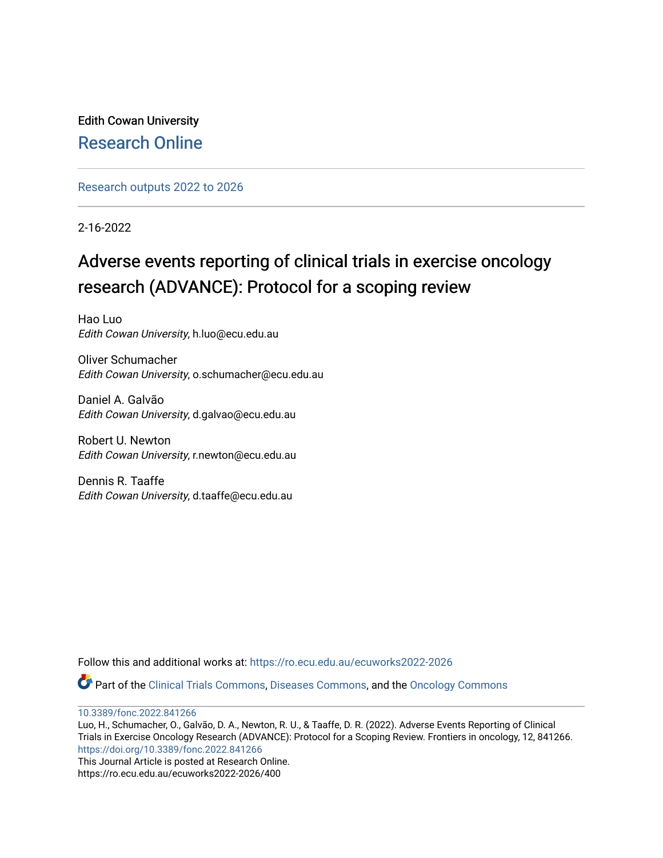Edith Cowan University [Research Online](https://ro.ecu.edu.au/) 

[Research outputs 2022 to 2026](https://ro.ecu.edu.au/ecuworks2022-2026) 

2-16-2022

# Adverse events reporting of clinical trials in exercise oncology research (ADVANCE): Protocol for a scoping review

Hao Luo Edith Cowan University, h.luo@ecu.edu.au

Oliver Schumacher Edith Cowan University, o.schumacher@ecu.edu.au

Daniel A. Galvão Edith Cowan University, d.galvao@ecu.edu.au

Robert U. Newton Edith Cowan University, r.newton@ecu.edu.au

Dennis R. Taaffe Edith Cowan University, d.taaffe@ecu.edu.au

Follow this and additional works at: [https://ro.ecu.edu.au/ecuworks2022-2026](https://ro.ecu.edu.au/ecuworks2022-2026?utm_source=ro.ecu.edu.au%2Fecuworks2022-2026%2F400&utm_medium=PDF&utm_campaign=PDFCoverPages)

Part of the [Clinical Trials Commons](https://network.bepress.com/hgg/discipline/820?utm_source=ro.ecu.edu.au%2Fecuworks2022-2026%2F400&utm_medium=PDF&utm_campaign=PDFCoverPages), [Diseases Commons,](https://network.bepress.com/hgg/discipline/813?utm_source=ro.ecu.edu.au%2Fecuworks2022-2026%2F400&utm_medium=PDF&utm_campaign=PDFCoverPages) and the [Oncology Commons](https://network.bepress.com/hgg/discipline/694?utm_source=ro.ecu.edu.au%2Fecuworks2022-2026%2F400&utm_medium=PDF&utm_campaign=PDFCoverPages)

[10.3389/fonc.2022.841266](http://dx.doi.org/10.3389/fonc.2022.841266) 

Luo, H., Schumacher, O., Galvão, D. A., Newton, R. U., & Taaffe, D. R. (2022). Adverse Events Reporting of Clinical Trials in Exercise Oncology Research (ADVANCE): Protocol for a Scoping Review. Frontiers in oncology, 12, 841266. <https://doi.org/10.3389/fonc.2022.841266>

This Journal Article is posted at Research Online. https://ro.ecu.edu.au/ecuworks2022-2026/400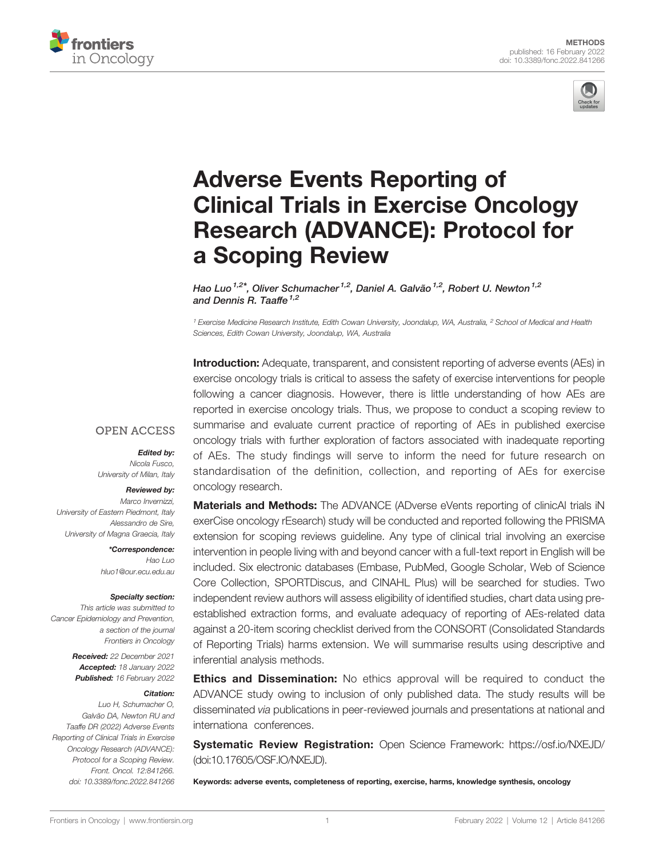



# [Adverse Events Reporting of](https://www.frontiersin.org/articles/10.3389/fonc.2022.841266/full) [Clinical Trials in Exercise Oncology](https://www.frontiersin.org/articles/10.3389/fonc.2022.841266/full) [Research \(ADVANCE\): Protocol for](https://www.frontiersin.org/articles/10.3389/fonc.2022.841266/full) [a Scoping Review](https://www.frontiersin.org/articles/10.3389/fonc.2022.841266/full)

Hao Luo<sup>1,2\*</sup>, Oliver Schumacher<sup>1,2</sup>, Daniel A. Galvão<sup>1,2</sup>, Robert U. Newton<sup>1,2</sup> and Dennis R. Taaffe<sup> $1,2$ </sup>

<sup>1</sup> Exercise Medicine Research Institute, Edith Cowan University, Joondalup, WA, Australia, <sup>2</sup> School of Medical and Health Sciences, Edith Cowan University, Joondalup, WA, Australia

**Introduction:** Adequate, transparent, and consistent reporting of adverse events (AEs) in exercise oncology trials is critical to assess the safety of exercise interventions for people following a cancer diagnosis. However, there is little understanding of how AEs are reported in exercise oncology trials. Thus, we propose to conduct a scoping review to summarise and evaluate current practice of reporting of AEs in published exercise oncology trials with further exploration of factors associated with inadequate reporting of AEs. The study findings will serve to inform the need for future research on standardisation of the definition, collection, and reporting of AEs for exercise oncology research.

**Materials and Methods:** The ADVANCE (ADverse eVents reporting of clinicAl trials iN exerCise oncology rEsearch) study will be conducted and reported following the PRISMA extension for scoping reviews guideline. Any type of clinical trial involving an exercise intervention in people living with and beyond cancer with a full-text report in English will be included. Six electronic databases (Embase, PubMed, Google Scholar, Web of Science Core Collection, SPORTDiscus, and CINAHL Plus) will be searched for studies. Two independent review authors will assess eligibility of identified studies, chart data using preestablished extraction forms, and evaluate adequacy of reporting of AEs-related data against a 20-item scoring checklist derived from the CONSORT (Consolidated Standards of Reporting Trials) harms extension. We will summarise results using descriptive and inferential analysis methods.

**Ethics and Dissemination:** No ethics approval will be required to conduct the ADVANCE study owing to inclusion of only published data. The study results will be disseminated via publications in peer-reviewed journals and presentations at national and internationa conferences.

Systematic Review Registration: Open Science Framework:<https://osf.io/NXEJD/> (doi:10.17605/OSF.IO/NXEJD).

Keywords: adverse events, completeness of reporting, exercise, harms, knowledge synthesis, oncology

#### **OPEN ACCESS**

Edited by:

Nicola Fusco, University of Milan, Italy

#### Reviewed by:

Marco Invernizzi, University of Eastern Piedmont, Italy Alessandro de Sire, University of Magna Graecia, Italy

> \*Correspondence: Hao Luo [hluo1@our.ecu.edu.au](mailto:hluo1@our.ecu.edu.au)

#### Specialty section:

This article was submitted to Cancer Epidemiology and Prevention, a section of the journal Frontiers in Oncology

> Received: 22 December 2021 Accepted: 18 January 2022 Published: 16 February 2022

#### Citation:

Luo H, Schumacher O, Galvão DA, Newton RU and Taaffe DR (2022) Adverse Events Reporting of Clinical Trials in Exercise Oncology Research (ADVANCE): Protocol for a Scoping Review. Front. Oncol. 12:841266. [doi: 10.3389/fonc.2022.841266](https://doi.org/10.3389/fonc.2022.841266)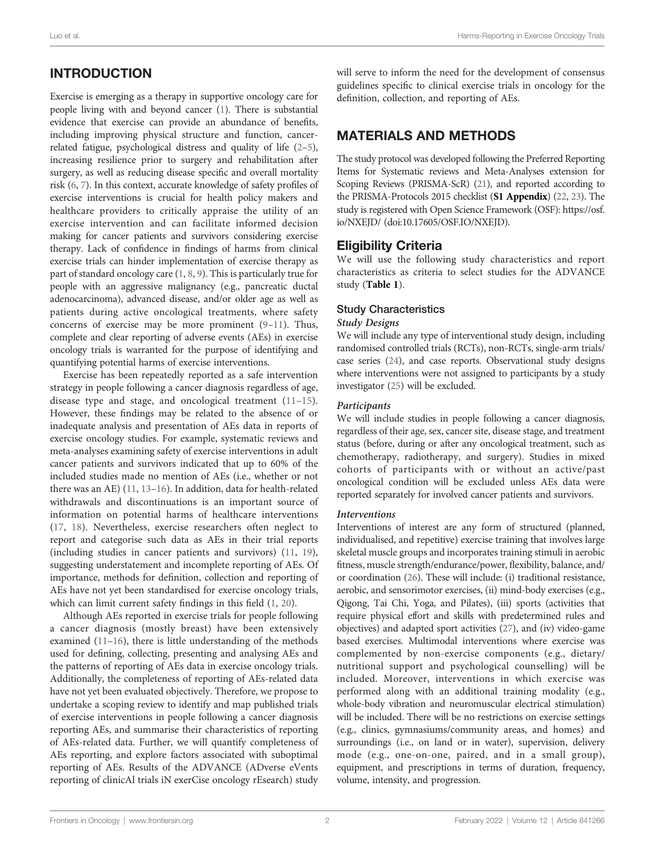# INTRODUCTION

Exercise is emerging as a therapy in supportive oncology care for people living with and beyond cancer [\(1](#page-8-0)). There is substantial evidence that exercise can provide an abundance of benefits, including improving physical structure and function, cancerrelated fatigue, psychological distress and quality of life [\(2](#page-8-0)–[5\)](#page-8-0), increasing resilience prior to surgery and rehabilitation after surgery, as well as reducing disease specific and overall mortality risk ([6](#page-8-0), [7\)](#page-8-0). In this context, accurate knowledge of safety profiles of exercise interventions is crucial for health policy makers and healthcare providers to critically appraise the utility of an exercise intervention and can facilitate informed decision making for cancer patients and survivors considering exercise therapy. Lack of confidence in findings of harms from clinical exercise trials can hinder implementation of exercise therapy as part of standard oncology care [\(1,](#page-8-0) [8](#page-8-0), [9\)](#page-8-0). This is particularly true for people with an aggressive malignancy (e.g., pancreatic ductal adenocarcinoma), advanced disease, and/or older age as well as patients during active oncological treatments, where safety concerns of exercise may be more prominent  $(9-11)$  $(9-11)$  $(9-11)$ . Thus, complete and clear reporting of adverse events (AEs) in exercise oncology trials is warranted for the purpose of identifying and quantifying potential harms of exercise interventions.

Exercise has been repeatedly reported as a safe intervention strategy in people following a cancer diagnosis regardless of age, disease type and stage, and oncological treatment ([11](#page-8-0)–[15\)](#page-8-0). However, these findings may be related to the absence of or inadequate analysis and presentation of AEs data in reports of exercise oncology studies. For example, systematic reviews and meta-analyses examining safety of exercise interventions in adult cancer patients and survivors indicated that up to 60% of the included studies made no mention of AEs (i.e., whether or not there was an AE) ([11](#page-8-0), [13](#page-8-0)–[16](#page-8-0)). In addition, data for health-related withdrawals and discontinuations is an important source of information on potential harms of healthcare interventions ([17,](#page-8-0) [18](#page-8-0)). Nevertheless, exercise researchers often neglect to report and categorise such data as AEs in their trial reports (including studies in cancer patients and survivors) [\(11](#page-8-0), [19\)](#page-8-0), suggesting understatement and incomplete reporting of AEs. Of importance, methods for definition, collection and reporting of AEs have not yet been standardised for exercise oncology trials, which can limit current safety findings in this field [\(1,](#page-8-0) [20\)](#page-8-0).

Although AEs reported in exercise trials for people following a cancer diagnosis (mostly breast) have been extensively examined ([11](#page-8-0)–[16\)](#page-8-0), there is little understanding of the methods used for defining, collecting, presenting and analysing AEs and the patterns of reporting of AEs data in exercise oncology trials. Additionally, the completeness of reporting of AEs-related data have not yet been evaluated objectively. Therefore, we propose to undertake a scoping review to identify and map published trials of exercise interventions in people following a cancer diagnosis reporting AEs, and summarise their characteristics of reporting of AEs-related data. Further, we will quantify completeness of AEs reporting, and explore factors associated with suboptimal reporting of AEs. Results of the ADVANCE (ADverse eVents reporting of clinicAl trials iN exerCise oncology rEsearch) study

will serve to inform the need for the development of consensus guidelines specific to clinical exercise trials in oncology for the definition, collection, and reporting of AEs.

# MATERIALS AND METHODS

The study protocol was developed following the Preferred Reporting Items for Systematic reviews and Meta-Analyses extension for Scoping Reviews (PRISMA-ScR) [\(21\)](#page-8-0), and reported according to the PRISMA-Protocols 2015 checklist (S1 Appendix) [\(22,](#page-8-0) [23\)](#page-9-0). The study is registered with Open Science Framework (OSF): [https://osf.](https://osf.io/NXEJD/) [io/NXEJD/](https://osf.io/NXEJD/) (doi:10.17605/OSF.IO/NXEJD).

## Eligibility Criteria

We will use the following study characteristics and report characteristics as criteria to select studies for the ADVANCE study ([Table 1](#page-3-0)).

## Study Characteristics

### Study Designs

We will include any type of interventional study design, including randomised controlled trials (RCTs), non-RCTs, single-arm trials/ case series [\(24](#page-9-0)), and case reports. Observational study designs where interventions were not assigned to participants by a study investigator [\(25](#page-9-0)) will be excluded.

## Participants

We will include studies in people following a cancer diagnosis, regardless of their age, sex, cancer site, disease stage, and treatment status (before, during or after any oncological treatment, such as chemotherapy, radiotherapy, and surgery). Studies in mixed cohorts of participants with or without an active/past oncological condition will be excluded unless AEs data were reported separately for involved cancer patients and survivors.

### Interventions

Interventions of interest are any form of structured (planned, individualised, and repetitive) exercise training that involves large skeletal muscle groups and incorporates training stimuli in aerobic fitness, muscle strength/endurance/power, flexibility, balance, and/ or coordination [\(26](#page-9-0)). These will include: (i) traditional resistance, aerobic, and sensorimotor exercises, (ii) mind-body exercises (e.g., Qigong, Tai Chi, Yoga, and Pilates), (iii) sports (activities that require physical effort and skills with predetermined rules and objectives) and adapted sport activities [\(27](#page-9-0)), and (iv) video-game based exercises. Multimodal interventions where exercise was complemented by non-exercise components (e.g., dietary/ nutritional support and psychological counselling) will be included. Moreover, interventions in which exercise was performed along with an additional training modality (e.g., whole-body vibration and neuromuscular electrical stimulation) will be included. There will be no restrictions on exercise settings (e.g., clinics, gymnasiums/community areas, and homes) and surroundings (i.e., on land or in water), supervision, delivery mode (e.g., one-on-one, paired, and in a small group), equipment, and prescriptions in terms of duration, frequency, volume, intensity, and progression.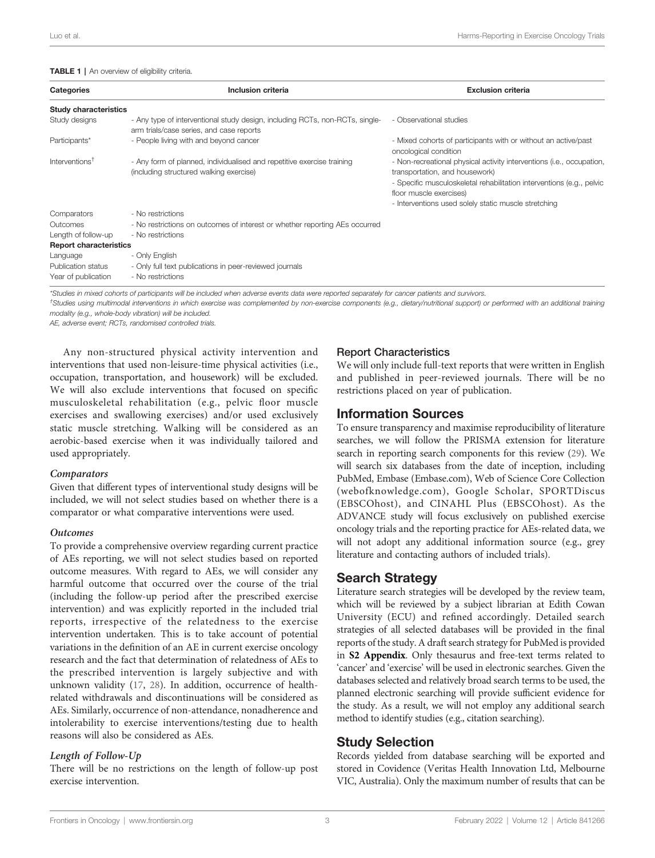#### <span id="page-3-0"></span>TABLE 1 | An overview of eligibility criteria.

| <b>Categories</b>                                     | Inclusion criteria                                                                                                       | <b>Exclusion criteria</b>                                                                                                                                                                                                                                           |
|-------------------------------------------------------|--------------------------------------------------------------------------------------------------------------------------|---------------------------------------------------------------------------------------------------------------------------------------------------------------------------------------------------------------------------------------------------------------------|
| <b>Study characteristics</b>                          |                                                                                                                          |                                                                                                                                                                                                                                                                     |
| Study designs                                         | - Any type of interventional study design, including RCTs, non-RCTs, single-<br>arm trials/case series, and case reports | - Observational studies                                                                                                                                                                                                                                             |
| Participants*                                         | - People living with and beyond cancer                                                                                   | - Mixed cohorts of participants with or without an active/past<br>oncological condition                                                                                                                                                                             |
| Interventions <sup>†</sup>                            | - Any form of planned, individualised and repetitive exercise training<br>(including structured walking exercise)        | - Non-recreational physical activity interventions (i.e., occupation,<br>transportation, and housework)<br>- Specific musculoskeletal rehabilitation interventions (e.g., pelvic<br>floor muscle exercises)<br>- Interventions used solely static muscle stretching |
| Comparators                                           | - No restrictions                                                                                                        |                                                                                                                                                                                                                                                                     |
| Outcomes                                              | - No restrictions on outcomes of interest or whether reporting AEs occurred                                              |                                                                                                                                                                                                                                                                     |
| Length of follow-up                                   | - No restrictions                                                                                                        |                                                                                                                                                                                                                                                                     |
| <b>Report characteristics</b>                         |                                                                                                                          |                                                                                                                                                                                                                                                                     |
| Language<br>Publication status<br>Year of publication | - Only English<br>- Only full text publications in peer-reviewed journals<br>- No restrictions                           |                                                                                                                                                                                                                                                                     |

\*Studies in mixed cohorts of participants will be included when adverse events data were reported separately for cancer patients and survivors.

† Studies using multimodal interventions in which exercise was complemented by non-exercise components (e.g., dietary/nutritional support) or performed with an additional training modality (e.g., whole-body vibration) will be included.

AE, adverse event; RCTs, randomised controlled trials.

Any non-structured physical activity intervention and interventions that used non-leisure-time physical activities (i.e., occupation, transportation, and housework) will be excluded. We will also exclude interventions that focused on specific musculoskeletal rehabilitation (e.g., pelvic floor muscle exercises and swallowing exercises) and/or used exclusively static muscle stretching. Walking will be considered as an aerobic-based exercise when it was individually tailored and used appropriately.

#### **Comparators**

Given that different types of interventional study designs will be included, we will not select studies based on whether there is a comparator or what comparative interventions were used.

#### **Outcomes**

To provide a comprehensive overview regarding current practice of AEs reporting, we will not select studies based on reported outcome measures. With regard to AEs, we will consider any harmful outcome that occurred over the course of the trial (including the follow-up period after the prescribed exercise intervention) and was explicitly reported in the included trial reports, irrespective of the relatedness to the exercise intervention undertaken. This is to take account of potential variations in the definition of an AE in current exercise oncology research and the fact that determination of relatedness of AEs to the prescribed intervention is largely subjective and with unknown validity [\(17](#page-8-0), [28](#page-9-0)). In addition, occurrence of healthrelated withdrawals and discontinuations will be considered as AEs. Similarly, occurrence of non-attendance, nonadherence and intolerability to exercise interventions/testing due to health reasons will also be considered as AEs.

### Length of Follow-Up

There will be no restrictions on the length of follow-up post exercise intervention.

### Report Characteristics

We will only include full-text reports that were written in English and published in peer-reviewed journals. There will be no restrictions placed on year of publication.

## Information Sources

To ensure transparency and maximise reproducibility of literature searches, we will follow the PRISMA extension for literature search in reporting search components for this review [\(29](#page-9-0)). We will search six databases from the date of inception, including PubMed, Embase (Embase.com), Web of Science Core Collection (webofknowledge.com), Google Scholar, SPORTDiscus (EBSCOhost), and CINAHL Plus (EBSCOhost). As the ADVANCE study will focus exclusively on published exercise oncology trials and the reporting practice for AEs-related data, we will not adopt any additional information source (e.g., grey literature and contacting authors of included trials).

## Search Strategy

Literature search strategies will be developed by the review team, which will be reviewed by a subject librarian at Edith Cowan University (ECU) and refined accordingly. Detailed search strategies of all selected databases will be provided in the final reports of the study. A draft search strategy for PubMed is provided in S2 Appendix. Only thesaurus and free-text terms related to 'cancer' and 'exercise' will be used in electronic searches. Given the databases selected and relatively broad search terms to be used, the planned electronic searching will provide sufficient evidence for the study. As a result, we will not employ any additional search method to identify studies (e.g., citation searching).

## Study Selection

Records yielded from database searching will be exported and stored in Covidence (Veritas Health Innovation Ltd, Melbourne VIC, Australia). Only the maximum number of results that can be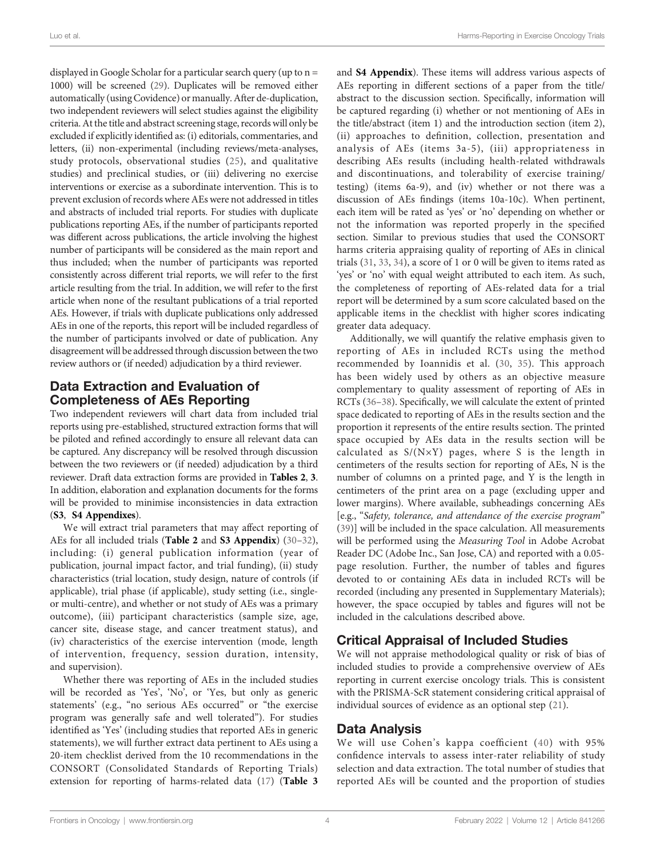displayed in Google Scholar for a particular search query (up to n = 1000) will be screened ([29\)](#page-9-0). Duplicates will be removed either automatically (using Covidence) or manually. After de-duplication, two independent reviewers will select studies against the eligibility criteria. At the title and abstract screening stage, records will only be excluded if explicitly identified as: (i) editorials, commentaries, and letters, (ii) non-experimental (including reviews/meta-analyses, study protocols, observational studies ([25](#page-9-0)), and qualitative studies) and preclinical studies, or (iii) delivering no exercise interventions or exercise as a subordinate intervention. This is to prevent exclusion of records where AEs were not addressed in titles and abstracts of included trial reports. For studies with duplicate publications reporting AEs, if the number of participants reported was different across publications, the article involving the highest number of participants will be considered as the main report and thus included; when the number of participants was reported consistently across different trial reports, we will refer to the first article resulting from the trial. In addition, we will refer to the first article when none of the resultant publications of a trial reported AEs. However, if trials with duplicate publications only addressed AEs in one of the reports, this report will be included regardless of the number of participants involved or date of publication. Any disagreement will be addressed through discussion between the two review authors or (if needed) adjudication by a third reviewer.

## Data Extraction and Evaluation of Completeness of AEs Reporting

Two independent reviewers will chart data from included trial reports using pre-established, structured extraction forms that will be piloted and refined accordingly to ensure all relevant data can be captured. Any discrepancy will be resolved through discussion between the two reviewers or (if needed) adjudication by a third reviewer. Draft data extraction forms are provided in [Tables 2](#page-5-0), [3](#page-6-0). In addition, elaboration and explanation documents for the forms will be provided to minimise inconsistencies in data extraction (S3, S4 Appendixes).

We will extract trial parameters that may affect reporting of AEs for all included trials ([Table 2](#page-5-0) and S3 Appendix) ([30](#page-9-0)-[32\)](#page-9-0), including: (i) general publication information (year of publication, journal impact factor, and trial funding), (ii) study characteristics (trial location, study design, nature of controls (if applicable), trial phase (if applicable), study setting (i.e., singleor multi-centre), and whether or not study of AEs was a primary outcome), (iii) participant characteristics (sample size, age, cancer site, disease stage, and cancer treatment status), and (iv) characteristics of the exercise intervention (mode, length of intervention, frequency, session duration, intensity, and supervision).

Whether there was reporting of AEs in the included studies will be recorded as 'Yes', 'No', or 'Yes, but only as generic statements' (e.g., "no serious AEs occurred" or "the exercise program was generally safe and well tolerated"). For studies identified as 'Yes' (including studies that reported AEs in generic statements), we will further extract data pertinent to AEs using a 20-item checklist derived from the 10 recommendations in the CONSORT (Consolidated Standards of Reporting Trials) extension for reporting of harms-related data [\(17](#page-8-0)) ([Table 3](#page-6-0)

and S4 Appendix). These items will address various aspects of AEs reporting in different sections of a paper from the title/ abstract to the discussion section. Specifically, information will be captured regarding (i) whether or not mentioning of AEs in the title/abstract (item 1) and the introduction section (item 2), (ii) approaches to definition, collection, presentation and analysis of AEs (items 3a-5), (iii) appropriateness in describing AEs results (including health-related withdrawals and discontinuations, and tolerability of exercise training/ testing) (items 6a-9), and (iv) whether or not there was a discussion of AEs findings (items 10a-10c). When pertinent, each item will be rated as 'yes' or 'no' depending on whether or not the information was reported properly in the specified section. Similar to previous studies that used the CONSORT harms criteria appraising quality of reporting of AEs in clinical trials ([31,](#page-9-0) [33](#page-9-0), [34\)](#page-9-0), a score of 1 or 0 will be given to items rated as 'yes' or 'no' with equal weight attributed to each item. As such, the completeness of reporting of AEs-related data for a trial report will be determined by a sum score calculated based on the applicable items in the checklist with higher scores indicating greater data adequacy.

Additionally, we will quantify the relative emphasis given to reporting of AEs in included RCTs using the method recommended by Ioannidis et al. ([30](#page-9-0), [35](#page-9-0)). This approach has been widely used by others as an objective measure complementary to quality assessment of reporting of AEs in RCTs ([36](#page-9-0)–[38\)](#page-9-0). Specifically, we will calculate the extent of printed space dedicated to reporting of AEs in the results section and the proportion it represents of the entire results section. The printed space occupied by AEs data in the results section will be calculated as S/(N×Y) pages, where S is the length in centimeters of the results section for reporting of AEs, N is the number of columns on a printed page, and Y is the length in centimeters of the print area on a page (excluding upper and lower margins). Where available, subheadings concerning AEs [e.g., "Safety, tolerance, and attendance of the exercise program" [\(39\)](#page-9-0)] will be included in the space calculation. All measurements will be performed using the Measuring Tool in Adobe Acrobat Reader DC (Adobe Inc., San Jose, CA) and reported with a 0.05 page resolution. Further, the number of tables and figures devoted to or containing AEs data in included RCTs will be recorded (including any presented in Supplementary Materials); however, the space occupied by tables and figures will not be included in the calculations described above.

# Critical Appraisal of Included Studies

We will not appraise methodological quality or risk of bias of included studies to provide a comprehensive overview of AEs reporting in current exercise oncology trials. This is consistent with the PRISMA-ScR statement considering critical appraisal of individual sources of evidence as an optional step [\(21\)](#page-8-0).

## Data Analysis

We will use Cohen's kappa coefficient ([40](#page-9-0)) with 95% confidence intervals to assess inter-rater reliability of study selection and data extraction. The total number of studies that reported AEs will be counted and the proportion of studies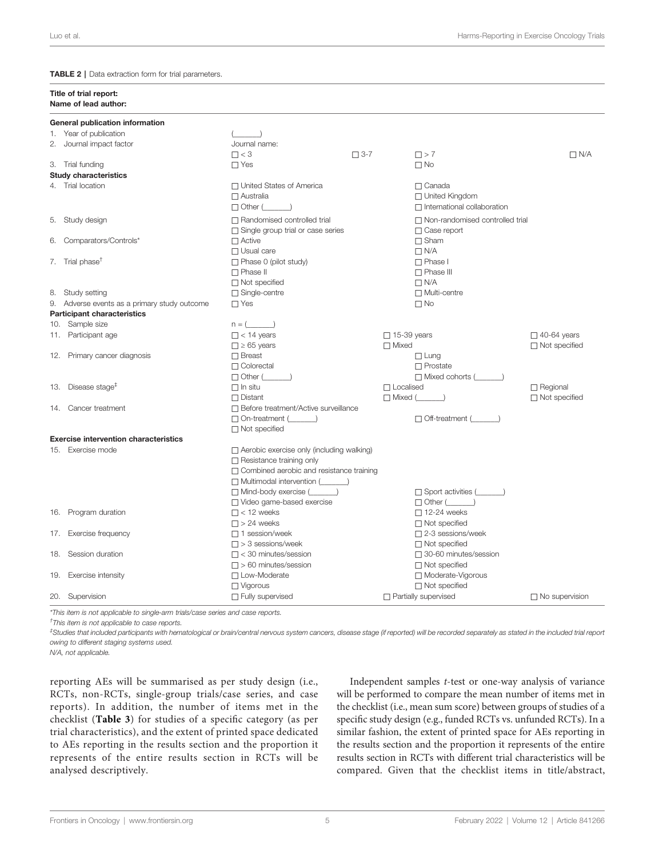<span id="page-5-0"></span>TABLE 2 | Data extraction form for trial parameters.

|     | Title of trial report:<br>Name of lead author: |                                                 |  |                                        |                       |  |  |  |  |
|-----|------------------------------------------------|-------------------------------------------------|--|----------------------------------------|-----------------------|--|--|--|--|
|     | General publication information                |                                                 |  |                                        |                       |  |  |  |  |
|     | 1. Year of publication                         |                                                 |  |                                        |                       |  |  |  |  |
|     | 2. Journal impact factor                       | Journal name:                                   |  |                                        |                       |  |  |  |  |
|     |                                                | $\Box$ < 3<br>$\Box$ 3-7                        |  | $\Box$ > 7                             | $\Box$ N/A            |  |  |  |  |
|     | 3. Trial funding                               | $\Box$ Yes                                      |  | $\Box$ No                              |                       |  |  |  |  |
|     | <b>Study characteristics</b>                   |                                                 |  |                                        |                       |  |  |  |  |
|     | 4. Trial location                              | □ United States of America                      |  | $\Box$ Canada                          |                       |  |  |  |  |
|     |                                                | $\Box$ Australia                                |  | □ United Kingdom                       |                       |  |  |  |  |
|     |                                                | $\Box$ Other (                                  |  | $\Box$ International collaboration     |                       |  |  |  |  |
|     |                                                |                                                 |  |                                        |                       |  |  |  |  |
|     | 5. Study design                                | $\Box$ Randomised controlled trial              |  | $\Box$ Non-randomised controlled trial |                       |  |  |  |  |
|     |                                                | $\Box$ Single group trial or case series        |  | $\Box$ Case report                     |                       |  |  |  |  |
|     | 6. Comparators/Controls*                       | $\Box$ Active                                   |  | $\Box$ Sham                            |                       |  |  |  |  |
|     |                                                | $\Box$ Usual care                               |  | $\Box$ N/A                             |                       |  |  |  |  |
|     | 7. Trial phase <sup>t</sup>                    | $\Box$ Phase 0 (pilot study)                    |  | $\Box$ Phase I                         |                       |  |  |  |  |
|     |                                                | $\Box$ Phase II                                 |  | $\Box$ Phase III                       |                       |  |  |  |  |
|     |                                                | $\Box$ Not specified                            |  | $\Box$ N/A                             |                       |  |  |  |  |
|     | 8. Study setting                               | □ Single-centre                                 |  | □ Multi-centre                         |                       |  |  |  |  |
|     | 9. Adverse events as a primary study outcome   | $\Box$ Yes                                      |  | $\Box$ No                              |                       |  |  |  |  |
|     | <b>Participant characteristics</b>             |                                                 |  |                                        |                       |  |  |  |  |
|     | 10. Sample size                                | $n = ($                                         |  |                                        |                       |  |  |  |  |
|     | 11. Participant age                            | $\Box$ < 14 years                               |  | $\Box$ 15-39 years                     | $\Box$ 40-64 years    |  |  |  |  |
|     |                                                | $\Box \ge 65$ years                             |  | $\Box$ Mixed                           | $\Box$ Not specified  |  |  |  |  |
|     | 12. Primary cancer diagnosis                   | $\Box$ Breast                                   |  | $\Box$ Lung                            |                       |  |  |  |  |
|     |                                                | $\Box$ Colorectal                               |  | $\Box$ Prostate                        |                       |  |  |  |  |
|     |                                                | $\Box$ Other (                                  |  | □ Mixed cohorts (                      |                       |  |  |  |  |
|     | 13. Disease stage <sup><math>#</math></sup>    | $\Box$ In situ                                  |  | $\Box$ Localised                       | $\Box$ Regional       |  |  |  |  |
|     |                                                | $\Box$ Distant                                  |  | $\Box$ Mixed $(\_$                     | $\Box$ Not specified  |  |  |  |  |
|     | 14. Cancer treatment                           | □ Before treatment/Active surveillance          |  |                                        |                       |  |  |  |  |
|     |                                                | $\Box$ On-treatment ( $\Box$ )                  |  | $\Box$ Off-treatment ( $\Box$ )        |                       |  |  |  |  |
|     |                                                | $\Box$ Not specified                            |  |                                        |                       |  |  |  |  |
|     | <b>Exercise intervention characteristics</b>   |                                                 |  |                                        |                       |  |  |  |  |
|     | 15. Exercise mode                              | □ Aerobic exercise only (including walking)     |  |                                        |                       |  |  |  |  |
|     |                                                | $\Box$ Resistance training only                 |  |                                        |                       |  |  |  |  |
|     |                                                | $\Box$ Combined aerobic and resistance training |  |                                        |                       |  |  |  |  |
|     |                                                |                                                 |  |                                        |                       |  |  |  |  |
|     |                                                | □ Mind-body exercise (<br>□                     |  | □ Sport activities (                   |                       |  |  |  |  |
|     |                                                | □ Video game-based exercise                     |  | $\Box$ Other $(\_\_\_\_)$              |                       |  |  |  |  |
|     | 16. Program duration                           | $\Box$ < 12 weeks                               |  | $\Box$ 12-24 weeks                     |                       |  |  |  |  |
|     |                                                | $\square$ > 24 weeks                            |  | $\Box$ Not specified                   |                       |  |  |  |  |
| 17. | Exercise frequency                             | $\Box$ 1 session/week                           |  | $\Box$ 2-3 sessions/week               |                       |  |  |  |  |
|     |                                                | $\Box$ > 3 sessions/week                        |  | $\Box$ Not specified                   |                       |  |  |  |  |
| 18. | Session duration                               | $\Box$ < 30 minutes/session                     |  | □ 30-60 minutes/session                |                       |  |  |  |  |
|     |                                                | $\Box$ > 60 minutes/session                     |  | $\Box$ Not specified                   |                       |  |  |  |  |
|     |                                                | □ Low-Moderate                                  |  |                                        |                       |  |  |  |  |
|     | 19. Exercise intensity                         |                                                 |  | Moderate-Vigorous                      |                       |  |  |  |  |
|     |                                                | $\Box$ Vigorous                                 |  | $\Box$ Not specified                   |                       |  |  |  |  |
|     | 20. Supervision                                | Fully supervised                                |  | □ Partially supervised                 | $\Box$ No supervision |  |  |  |  |

\*This item is not applicable to single-arm trials/case series and case reports.

† This item is not applicable to case reports.

‡ Studies that included participants with hematological or brain/central nervous system cancers, disease stage (if reported) will be recorded separately as stated in the included trial report owing to different staging systems used.

N/A, not applicable.

reporting AEs will be summarised as per study design (i.e., RCTs, non-RCTs, single-group trials/case series, and case reports). In addition, the number of items met in the checklist ([Table 3](#page-6-0)) for studies of a specific category (as per trial characteristics), and the extent of printed space dedicated to AEs reporting in the results section and the proportion it represents of the entire results section in RCTs will be analysed descriptively.

Independent samples t-test or one-way analysis of variance will be performed to compare the mean number of items met in the checklist (i.e., mean sum score) between groups of studies of a specific study design (e.g., funded RCTs vs. unfunded RCTs). In a similar fashion, the extent of printed space for AEs reporting in the results section and the proportion it represents of the entire results section in RCTs with different trial characteristics will be compared. Given that the checklist items in title/abstract,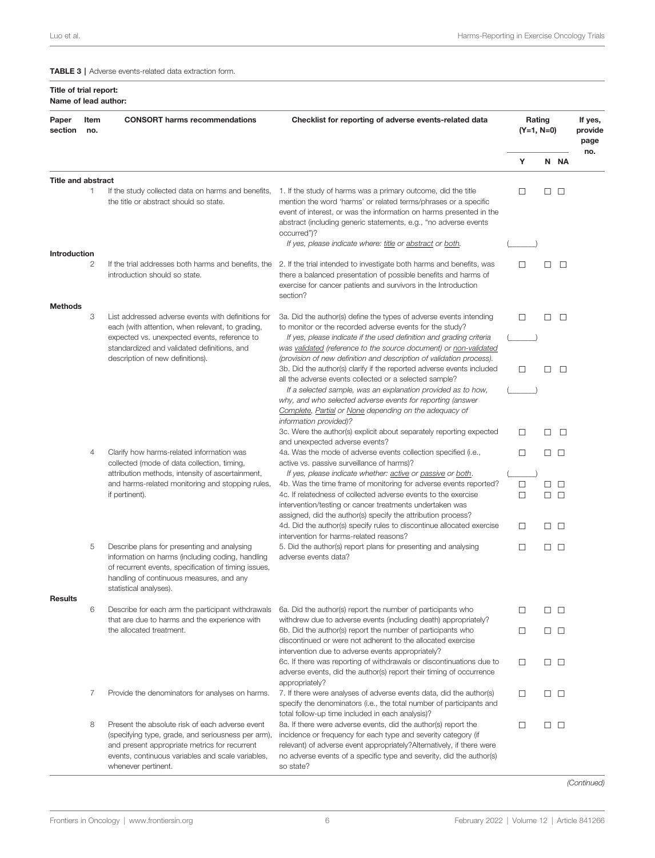<span id="page-6-0"></span>TABLE 3 | Adverse events-related data extraction form.

#### Title of trial report: Name of lead author:

| Paper<br>section          | Item<br>no. | <b>CONSORT</b> harms recommendations                                                                                                                                                                                               | Checklist for reporting of adverse events-related data                                                                                                                                                                                                                                                                                                  |        | Rating<br>$(Y=1, N=0)$ |                  |     |
|---------------------------|-------------|------------------------------------------------------------------------------------------------------------------------------------------------------------------------------------------------------------------------------------|---------------------------------------------------------------------------------------------------------------------------------------------------------------------------------------------------------------------------------------------------------------------------------------------------------------------------------------------------------|--------|------------------------|------------------|-----|
|                           |             |                                                                                                                                                                                                                                    |                                                                                                                                                                                                                                                                                                                                                         |        | Ν                      | <b>NA</b>        | no. |
| <b>Title and abstract</b> |             |                                                                                                                                                                                                                                    |                                                                                                                                                                                                                                                                                                                                                         |        |                        |                  |     |
|                           | 1.          | If the study collected data on harms and benefits,<br>the title or abstract should so state.                                                                                                                                       | 1. If the study of harms was a primary outcome, did the title<br>mention the word 'harms' or related terms/phrases or a specific<br>event of interest, or was the information on harms presented in the<br>abstract (including generic statements, e.g., "no adverse events<br>occurred")?<br>If yes, please indicate where: title or abstract or both. | □      |                        | $\Box$ $\Box$    |     |
| Introduction              |             |                                                                                                                                                                                                                                    |                                                                                                                                                                                                                                                                                                                                                         |        |                        |                  |     |
|                           | 2           | If the trial addresses both harms and benefits, the<br>introduction should so state.                                                                                                                                               | 2. If the trial intended to investigate both harms and benefits, was<br>there a balanced presentation of possible benefits and harms of<br>exercise for cancer patients and survivors in the Introduction<br>section?                                                                                                                                   | □      | □                      | $\Box$           |     |
| <b>Methods</b>            |             |                                                                                                                                                                                                                                    |                                                                                                                                                                                                                                                                                                                                                         |        |                        |                  |     |
|                           | 3           | List addressed adverse events with definitions for<br>each (with attention, when relevant, to grading,<br>expected vs. unexpected events, reference to<br>standardized and validated definitions, and                              | 3a. Did the author(s) define the types of adverse events intending<br>to monitor or the recorded adverse events for the study?<br>If yes, please indicate if the used definition and grading criteria<br>was validated (reference to the source document) or non-validated                                                                              | □      | □                      | $\Box$           |     |
|                           |             | description of new definitions).                                                                                                                                                                                                   | (provision of new definition and description of validation process).<br>3b. Did the author(s) clarify if the reported adverse events included<br>all the adverse events collected or a selected sample?<br>If a selected sample, was an explanation provided as to how,                                                                                 | □      | Ш                      | □                |     |
|                           |             |                                                                                                                                                                                                                                    | why, and who selected adverse events for reporting (answer<br>Complete, Partial or None depending on the adequacy of<br>information provided)?                                                                                                                                                                                                          |        |                        |                  |     |
|                           |             |                                                                                                                                                                                                                                    | 3c. Were the author(s) explicit about separately reporting expected<br>and unexpected adverse events?                                                                                                                                                                                                                                                   | □      | П                      | $\Box$           |     |
|                           | 4           | Clarify how harms-related information was<br>collected (mode of data collection, timing,                                                                                                                                           | 4a. Was the mode of adverse events collection specified (i.e.,<br>active vs. passive surveillance of harms)?                                                                                                                                                                                                                                            | □      |                        | $\Box$ $\Box$    |     |
|                           |             | attribution methods, intensity of ascertainment,<br>and harms-related monitoring and stopping rules,<br>if pertinent).                                                                                                             | If yes, please indicate whether: active or passive or both.<br>4b. Was the time frame of monitoring for adverse events reported?<br>4c. If relatedness of collected adverse events to the exercise<br>intervention/testing or cancer treatments undertaken was                                                                                          | □<br>□ | $\Box$<br>0            | $\Box$<br>$\Box$ |     |
|                           |             |                                                                                                                                                                                                                                    | assigned, did the author(s) specify the attribution process?<br>4d. Did the author(s) specify rules to discontinue allocated exercise<br>intervention for harms-related reasons?                                                                                                                                                                        | □      |                        | $\Box$ $\Box$    |     |
|                           | 5           | Describe plans for presenting and analysing<br>information on harms (including coding, handling<br>of recurrent events, specification of timing issues,<br>handling of continuous measures, and any<br>statistical analyses).      | 5. Did the author(s) report plans for presenting and analysing<br>adverse events data?                                                                                                                                                                                                                                                                  | □      |                        | $\Box$ $\Box$    |     |
| <b>Results</b>            | 6           | Describe for each arm the participant withdrawals<br>that are due to harms and the experience with                                                                                                                                 | 6a. Did the author(s) report the number of participants who<br>withdrew due to adverse events (including death) appropriately?                                                                                                                                                                                                                          | □      |                        | $\Box$ $\Box$    |     |
|                           |             | the allocated treatment.                                                                                                                                                                                                           | 6b. Did the author(s) report the number of participants who<br>discontinued or were not adherent to the allocated exercise<br>intervention due to adverse events appropriately?                                                                                                                                                                         | □      |                        | $\Box$ $\Box$    |     |
|                           |             |                                                                                                                                                                                                                                    | 6c. If there was reporting of withdrawals or discontinuations due to<br>adverse events, did the author(s) report their timing of occurrence<br>appropriately?                                                                                                                                                                                           | □      |                        | $\Box$ $\Box$    |     |
|                           | 7           | Provide the denominators for analyses on harms.                                                                                                                                                                                    | 7. If there were analyses of adverse events data, did the author(s)<br>specify the denominators (i.e., the total number of participants and<br>total follow-up time included in each analysis)?                                                                                                                                                         | □      |                        | $\Box$ $\Box$    |     |
|                           | 8           | Present the absolute risk of each adverse event<br>(specifying type, grade, and seriousness per arm),<br>and present appropriate metrics for recurrent<br>events, continuous variables and scale variables,<br>whenever pertinent. | 8a. If there were adverse events, did the author(s) report the<br>incidence or frequency for each type and severity category (if<br>relevant) of adverse event appropriately?Alternatively, if there were<br>no adverse events of a specific type and severity, did the author(s)<br>so state?                                                          | □      |                        | □□               |     |

(Continued)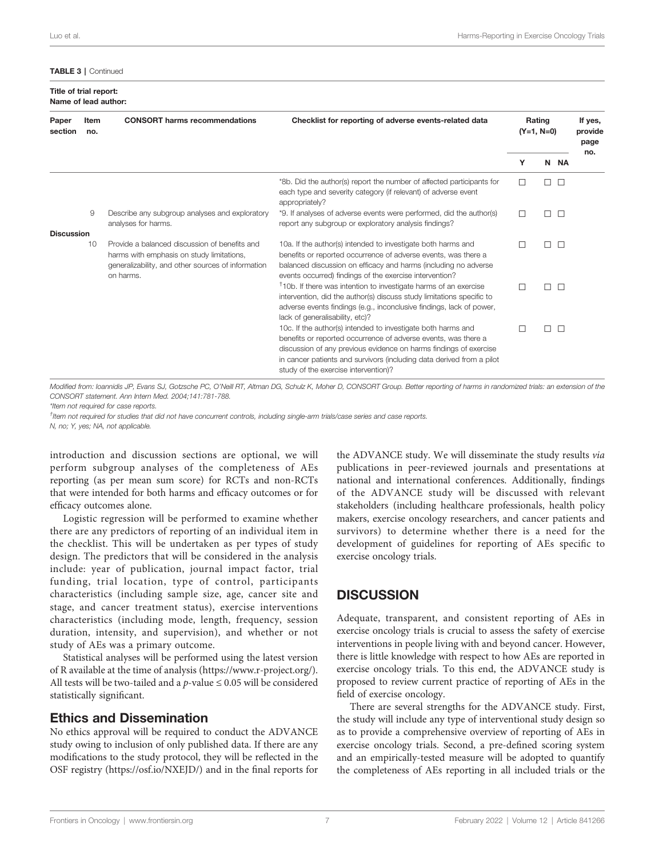#### TABLE 3 | Continued

Title of trial report: Name of lead author:

| Paper<br>section  | Item<br>no. | <b>CONSORT</b> harms recommendations                                                                                                                          | Checklist for reporting of adverse events-related data                                                                                                                                                                                                                                                               | Rating<br>$(Y=1, N=0)$ |        |        | If yes,<br>provide<br>page<br>no. |
|-------------------|-------------|---------------------------------------------------------------------------------------------------------------------------------------------------------------|----------------------------------------------------------------------------------------------------------------------------------------------------------------------------------------------------------------------------------------------------------------------------------------------------------------------|------------------------|--------|--------|-----------------------------------|
|                   |             |                                                                                                                                                               |                                                                                                                                                                                                                                                                                                                      | Y                      |        | N NA   |                                   |
|                   |             |                                                                                                                                                               | *8b. Did the author(s) report the number of affected participants for<br>each type and severity category (if relevant) of adverse event<br>appropriately?                                                                                                                                                            | $\Box$                 | ПП     |        |                                   |
| <b>Discussion</b> | 9           | Describe any subgroup analyses and exploratory<br>analyses for harms.                                                                                         | *9. If analyses of adverse events were performed, did the author(s)<br>report any subgroup or exploratory analysis findings?                                                                                                                                                                                         | п                      | П      | $\Box$ |                                   |
|                   | 10          | Provide a balanced discussion of benefits and<br>harms with emphasis on study limitations,<br>generalizability, and other sources of information<br>on harms. | 10a. If the author(s) intended to investigate both harms and<br>benefits or reported occurrence of adverse events, was there a<br>balanced discussion on efficacy and harms (including no adverse<br>events occurred) findings of the exercise intervention?                                                         |                        | п      | $\Box$ |                                   |
|                   |             |                                                                                                                                                               | <sup>†</sup> 10b. If there was intention to investigate harms of an exercise<br>intervention, did the author(s) discuss study limitations specific to<br>adverse events findings (e.g., inconclusive findings, lack of power,<br>lack of generalisability, etc)?                                                     | П                      | $\Box$ | $\Box$ |                                   |
|                   |             |                                                                                                                                                               | 10c. If the author(s) intended to investigate both harms and<br>benefits or reported occurrence of adverse events, was there a<br>discussion of any previous evidence on harms findings of exercise<br>in cancer patients and survivors (including data derived from a pilot<br>study of the exercise intervention)? |                        | П      | $\Box$ |                                   |

Modified from: Ioannidis JP, Evans SJ, Gotzsche PC, O'Neill RT, Altman DG, Schulz K, Moher D, CONSORT Group. Better reporting of harms in randomized trials: an extension of the CONSORT statement. Ann Intern Med. 2004;141:781-788.

\*Item not required for case reports.

† Item not required for studies that did not have concurrent controls, including single-arm trials/case series and case reports.

N, no; Y, yes; NA, not applicable.

introduction and discussion sections are optional, we will perform subgroup analyses of the completeness of AEs reporting (as per mean sum score) for RCTs and non-RCTs that were intended for both harms and efficacy outcomes or for efficacy outcomes alone.

Logistic regression will be performed to examine whether there are any predictors of reporting of an individual item in the checklist. This will be undertaken as per types of study design. The predictors that will be considered in the analysis include: year of publication, journal impact factor, trial funding, trial location, type of control, participants characteristics (including sample size, age, cancer site and stage, and cancer treatment status), exercise interventions characteristics (including mode, length, frequency, session duration, intensity, and supervision), and whether or not study of AEs was a primary outcome.

Statistical analyses will be performed using the latest version of R available at the time of analysis [\(https://www.r-project.org/\)](https://www.r-project.org/). All tests will be two-tailed and a  $p$ -value  $\leq 0.05$  will be considered statistically significant.

## Ethics and Dissemination

No ethics approval will be required to conduct the ADVANCE study owing to inclusion of only published data. If there are any modifications to the study protocol, they will be reflected in the OSF registry (<https://osf.io/NXEJD/>) and in the final reports for

the ADVANCE study. We will disseminate the study results via publications in peer-reviewed journals and presentations at national and international conferences. Additionally, findings of the ADVANCE study will be discussed with relevant stakeholders (including healthcare professionals, health policy makers, exercise oncology researchers, and cancer patients and survivors) to determine whether there is a need for the development of guidelines for reporting of AEs specific to exercise oncology trials.

# **DISCUSSION**

Adequate, transparent, and consistent reporting of AEs in exercise oncology trials is crucial to assess the safety of exercise interventions in people living with and beyond cancer. However, there is little knowledge with respect to how AEs are reported in exercise oncology trials. To this end, the ADVANCE study is proposed to review current practice of reporting of AEs in the field of exercise oncology.

There are several strengths for the ADVANCE study. First, the study will include any type of interventional study design so as to provide a comprehensive overview of reporting of AEs in exercise oncology trials. Second, a pre-defined scoring system and an empirically-tested measure will be adopted to quantify the completeness of AEs reporting in all included trials or the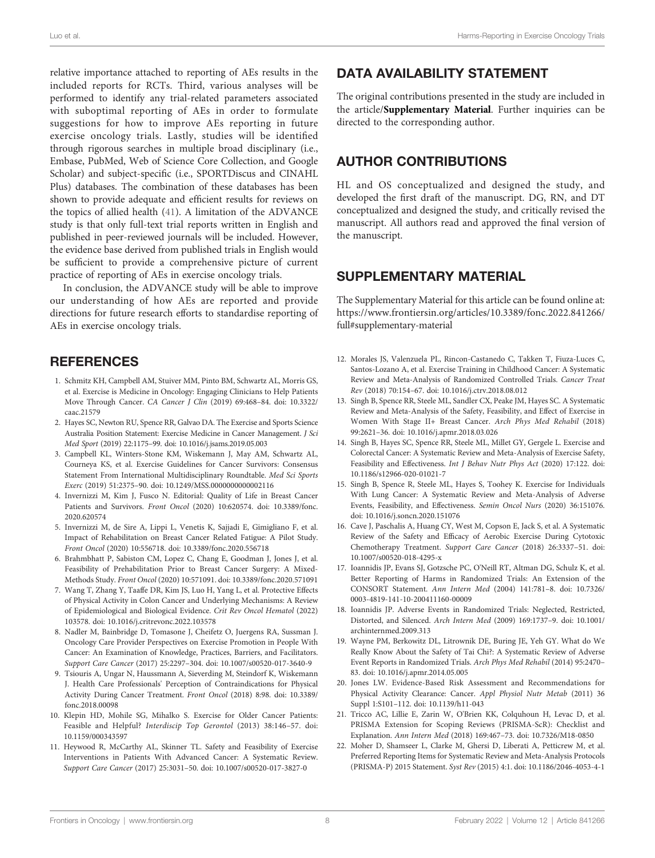<span id="page-8-0"></span>relative importance attached to reporting of AEs results in the included reports for RCTs. Third, various analyses will be performed to identify any trial-related parameters associated with suboptimal reporting of AEs in order to formulate suggestions for how to improve AEs reporting in future exercise oncology trials. Lastly, studies will be identified through rigorous searches in multiple broad disciplinary (i.e., Embase, PubMed, Web of Science Core Collection, and Google Scholar) and subject-specific (i.e., SPORTDiscus and CINAHL Plus) databases. The combination of these databases has been shown to provide adequate and efficient results for reviews on the topics of allied health [\(41](#page-9-0)). A limitation of the ADVANCE study is that only full-text trial reports written in English and published in peer-reviewed journals will be included. However, the evidence base derived from published trials in English would be sufficient to provide a comprehensive picture of current practice of reporting of AEs in exercise oncology trials.

In conclusion, the ADVANCE study will be able to improve our understanding of how AEs are reported and provide directions for future research efforts to standardise reporting of AEs in exercise oncology trials.

## **REFERENCES**

- 1. Schmitz KH, Campbell AM, Stuiver MM, Pinto BM, Schwartz AL, Morris GS, et al. Exercise is Medicine in Oncology: Engaging Clinicians to Help Patients Move Through Cancer. CA Cancer J Clin (2019) 69:468–84. doi: [10.3322/](https://doi.org/10.3322/caac.21579) [caac.21579](https://doi.org/10.3322/caac.21579)
- 2. Hayes SC, Newton RU, Spence RR, Galvao DA. The Exercise and Sports Science Australia Position Statement: Exercise Medicine in Cancer Management. J Sci Med Sport (2019) 22:1175–99. doi: [10.1016/j.jsams.2019.05.003](https://doi.org/10.1016/j.jsams.2019.05.003)
- 3. Campbell KL, Winters-Stone KM, Wiskemann J, May AM, Schwartz AL, Courneya KS, et al. Exercise Guidelines for Cancer Survivors: Consensus Statement From International Multidisciplinary Roundtable. Med Sci Sports Exerc (2019) 51:2375–90. doi: [10.1249/MSS.0000000000002116](https://doi.org/10.1249/MSS.0000000000002116)
- 4. Invernizzi M, Kim J, Fusco N. Editorial: Quality of Life in Breast Cancer Patients and Survivors. Front Oncol (2020) 10:620574. doi: [10.3389/fonc.](https://doi.org/10.3389/fonc.2020.620574) [2020.620574](https://doi.org/10.3389/fonc.2020.620574)
- 5. Invernizzi M, de Sire A, Lippi L, Venetis K, Sajjadi E, Gimigliano F, et al. Impact of Rehabilitation on Breast Cancer Related Fatigue: A Pilot Study. Front Oncol (2020) 10:556718. doi: [10.3389/fonc.2020.556718](https://doi.org/10.3389/fonc.2020.556718)
- 6. Brahmbhatt P, Sabiston CM, Lopez C, Chang E, Goodman J, Jones J, et al. Feasibility of Prehabilitation Prior to Breast Cancer Surgery: A Mixed-Methods Study. Front Oncol (2020) 10:571091. doi: [10.3389/fonc.2020.571091](https://doi.org/10.3389/fonc.2020.571091)
- 7. Wang T, Zhang Y, Taaffe DR, Kim JS, Luo H, Yang L, et al. Protective Effects of Physical Activity in Colon Cancer and Underlying Mechanisms: A Review of Epidemiological and Biological Evidence. Crit Rev Oncol Hematol (2022) 103578. doi: [10.1016/j.critrevonc.2022.103578](https://doi.org/10.1016/j.critrevonc.2022.103578)
- 8. Nadler M, Bainbridge D, Tomasone J, Cheifetz O, Juergens RA, Sussman J. Oncology Care Provider Perspectives on Exercise Promotion in People With Cancer: An Examination of Knowledge, Practices, Barriers, and Facilitators. Support Care Cancer (2017) 25:2297–304. doi: [10.1007/s00520-017-3640-9](https://doi.org/10.1007/s00520-017-3640-9)
- 9. Tsiouris A, Ungar N, Haussmann A, Sieverding M, Steindorf K, Wiskemann J. Health Care Professionals' Perception of Contraindications for Physical Activity During Cancer Treatment. Front Oncol (2018) 8:98. doi: [10.3389/](https://doi.org/10.3389/fonc.2018.00098) [fonc.2018.00098](https://doi.org/10.3389/fonc.2018.00098)
- 10. Klepin HD, Mohile SG, Mihalko S. Exercise for Older Cancer Patients: Feasible and Helpful? Interdiscip Top Gerontol (2013) 38:146–57. doi: [10.1159/000343597](https://doi.org/10.1159/000343597)
- 11. Heywood R, McCarthy AL, Skinner TL. Safety and Feasibility of Exercise Interventions in Patients With Advanced Cancer: A Systematic Review. Support Care Cancer (2017) 25:3031–50. doi: [10.1007/s00520-017-3827-0](https://doi.org/10.1007/s00520-017-3827-0)

## DATA AVAILABILITY STATEMENT

The original contributions presented in the study are included in the article/Supplementary Material. Further inquiries can be directed to the corresponding author.

## AUTHOR CONTRIBUTIONS

HL and OS conceptualized and designed the study, and developed the first draft of the manuscript. DG, RN, and DT conceptualized and designed the study, and critically revised the manuscript. All authors read and approved the final version of the manuscript.

## SUPPLEMENTARY MATERIAL

The Supplementary Material for this article can be found online at: [https://www.frontiersin.org/articles/10.3389/fonc.2022.841266/](https://www.frontiersin.org/articles/10.3389/fonc.2022.841266/full#supplementary-material) [full#supplementary-material](https://www.frontiersin.org/articles/10.3389/fonc.2022.841266/full#supplementary-material)

- 12. Morales JS, Valenzuela PL, Rincon-Castanedo C, Takken T, Fiuza-Luces C, Santos-Lozano A, et al. Exercise Training in Childhood Cancer: A Systematic Review and Meta-Analysis of Randomized Controlled Trials. Cancer Treat Rev (2018) 70:154–67. doi: [10.1016/j.ctrv.2018.08.012](https://doi.org/10.1016/j.ctrv.2018.08.012)
- 13. Singh B, Spence RR, Steele ML, Sandler CX, Peake JM, Hayes SC. A Systematic Review and Meta-Analysis of the Safety, Feasibility, and Effect of Exercise in Women With Stage II+ Breast Cancer. Arch Phys Med Rehabil (2018) 99:2621–36. doi: [10.1016/j.apmr.2018.03.026](https://doi.org/10.1016/j.apmr.2018.03.026)
- 14. Singh B, Hayes SC, Spence RR, Steele ML, Millet GY, Gergele L. Exercise and Colorectal Cancer: A Systematic Review and Meta-Analysis of Exercise Safety, Feasibility and Effectiveness. Int J Behav Nutr Phys Act (2020) 17:122. doi: [10.1186/s12966-020-01021-7](https://doi.org/10.1186/s12966-020-01021-7)
- 15. Singh B, Spence R, Steele ML, Hayes S, Toohey K. Exercise for Individuals With Lung Cancer: A Systematic Review and Meta-Analysis of Adverse Events, Feasibility, and Effectiveness. Semin Oncol Nurs (2020) 36:151076. doi: [10.1016/j.soncn.2020.151076](https://doi.org/10.1016/j.soncn.2020.151076)
- 16. Cave J, Paschalis A, Huang CY, West M, Copson E, Jack S, et al. A Systematic Review of the Safety and Efficacy of Aerobic Exercise During Cytotoxic Chemotherapy Treatment. Support Care Cancer (2018) 26:3337–51. doi: [10.1007/s00520-018-4295-x](https://doi.org/10.1007/s00520-018-4295-x)
- 17. Ioannidis JP, Evans SJ, Gotzsche PC, O'Neill RT, Altman DG, Schulz K, et al. Better Reporting of Harms in Randomized Trials: An Extension of the CONSORT Statement. Ann Intern Med (2004) 141:781–8. doi: [10.7326/](https://doi.org/10.7326/0003-4819-141-10-200411160-00009) [0003-4819-141-10-200411160-00009](https://doi.org/10.7326/0003-4819-141-10-200411160-00009)
- 18. Ioannidis JP. Adverse Events in Randomized Trials: Neglected, Restricted, Distorted, and Silenced. Arch Intern Med (2009) 169:1737–9. doi: [10.1001/](https://doi.org/10.1001/archinternmed.2009.313) [archinternmed.2009.313](https://doi.org/10.1001/archinternmed.2009.313)
- 19. Wayne PM, Berkowitz DL, Litrownik DE, Buring JE, Yeh GY. What do We Really Know About the Safety of Tai Chi?: A Systematic Review of Adverse Event Reports in Randomized Trials. Arch Phys Med Rehabil (2014) 95:2470– 83. doi: [10.1016/j.apmr.2014.05.005](https://doi.org/10.1016/j.apmr.2014.05.005)
- 20. Jones LW. Evidence-Based Risk Assessment and Recommendations for Physical Activity Clearance: Cancer. Appl Physiol Nutr Metab (2011) 36 Suppl 1:S101–112. doi: [10.1139/h11-043](https://doi.org/10.1139/h11-043)
- 21. Tricco AC, Lillie E, Zarin W, O'Brien KK, Colquhoun H, Levac D, et al. PRISMA Extension for Scoping Reviews (PRISMA-ScR): Checklist and Explanation. Ann Intern Med (2018) 169:467–73. doi: [10.7326/M18-0850](https://doi.org/10.7326/M18-0850)
- 22. Moher D, Shamseer L, Clarke M, Ghersi D, Liberati A, Petticrew M, et al. Preferred Reporting Items for Systematic Review and Meta-Analysis Protocols (PRISMA-P) 2015 Statement. Syst Rev (2015) 4:1. doi: [10.1186/2046-4053-4-1](https://doi.org/10.1186/2046-4053-4-1)